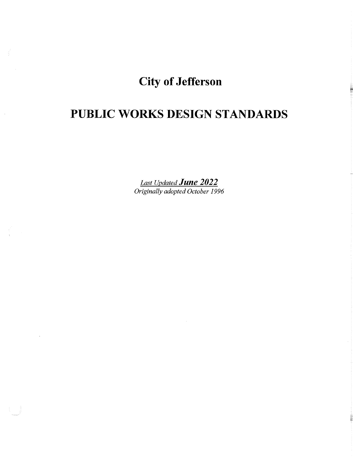# City of Jefferson

# PUBLIC WORKS DESIGN STANDARDS

*Last Updated June 2022 Originally adopted October 1996*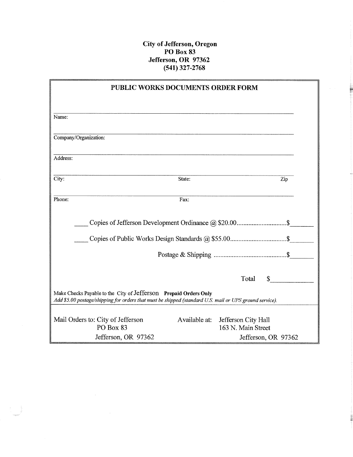## City of Jefferson, Oregon PO Box 83 Jefferson, OR 97362 (541) 327-2768

|                                                                                                                                                                             | PUBLIC WORKS DOCUMENTS ORDER FORM |                                                         |     |
|-----------------------------------------------------------------------------------------------------------------------------------------------------------------------------|-----------------------------------|---------------------------------------------------------|-----|
|                                                                                                                                                                             |                                   |                                                         |     |
| Name:                                                                                                                                                                       |                                   |                                                         |     |
| Company/Organization:                                                                                                                                                       |                                   |                                                         |     |
| Address:                                                                                                                                                                    |                                   |                                                         |     |
| City:                                                                                                                                                                       | State:                            |                                                         | Zip |
| Phone:                                                                                                                                                                      | Fax:                              |                                                         |     |
|                                                                                                                                                                             |                                   |                                                         |     |
|                                                                                                                                                                             |                                   |                                                         |     |
|                                                                                                                                                                             |                                   |                                                         |     |
|                                                                                                                                                                             |                                   | Total<br>$s$ $\qquad$                                   |     |
| Make Checks Payable to the City of Jefferson Prepaid Orders Only<br>Add \$5.00 postage/shipping for orders that must be shipped (standard U.S. mail or UPS ground service). |                                   |                                                         |     |
| Mail Orders to: City of Jefferson<br>PO Box 83                                                                                                                              |                                   | Available at: Jefferson City Hall<br>163 N. Main Street |     |
| Jefferson, OR 97362                                                                                                                                                         |                                   | Jefferson, OR 97362                                     |     |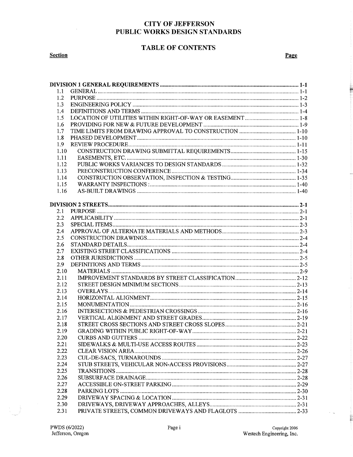### **TABLE OF CONTENTS**

**Section** 

Page

| 1.1  |  |
|------|--|
| 1.2  |  |
| 1.3  |  |
| 1.4  |  |
| 1.5  |  |
| 1.6  |  |
| 1.7  |  |
| 1.8  |  |
| 1.9  |  |
| 1.10 |  |
| 1.11 |  |
| 1.12 |  |
| 1.13 |  |
| 1.14 |  |
| 1.15 |  |
| 1.16 |  |
|      |  |
|      |  |
| 2.1  |  |
| 2.2  |  |
| 2.3  |  |
| 2.4  |  |
| 2.5  |  |
|      |  |
| 2.6  |  |
| 2.7  |  |
| 2.8  |  |
| 2.9  |  |
| 2.10 |  |
| 2.11 |  |
| 2.12 |  |
| 2.13 |  |
| 2.14 |  |
| 2.15 |  |
| 2.16 |  |
| 2.17 |  |
| 2.18 |  |
| 2.19 |  |
| 2.20 |  |
| 2.21 |  |
| 2.22 |  |
| 2.23 |  |
| 2.24 |  |
| 2.25 |  |
| 2.26 |  |
| 2.27 |  |
| 2.28 |  |
| 2.29 |  |
| 2.30 |  |
| 2.31 |  |

 $\sim$   $\sim$ 

 $\mathbf{H}$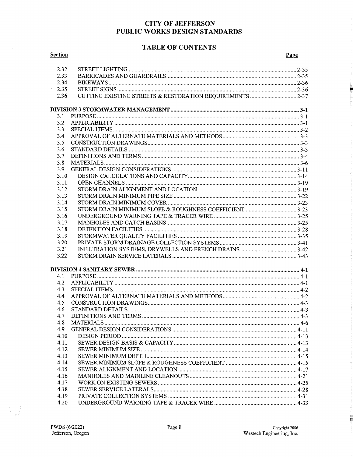#### **TABLE OF CONTENTS**

| <b>Section</b> |                   | Page |
|----------------|-------------------|------|
| 2.32           |                   |      |
| 2.33           |                   |      |
| 2.34           |                   |      |
| 2.35           |                   |      |
| 2.36           |                   |      |
|                |                   |      |
|                |                   |      |
| 3.1            |                   |      |
| 3.2            |                   |      |
| 3.3            |                   |      |
| 3.4            |                   |      |
| 3.5            |                   |      |
| 3.6            |                   |      |
| 3.7            |                   |      |
| 3.8            |                   |      |
| 3.9            |                   |      |
| 3.10           |                   |      |
| 3.11           |                   |      |
| 3.12           |                   |      |
| 3.13           |                   |      |
| 3.14           |                   |      |
| 3.15           |                   |      |
| 3.16           |                   |      |
| 3.17           |                   |      |
| 3.18           |                   |      |
| 3.19           |                   |      |
| 3.20           |                   |      |
| 3.21           |                   |      |
| 3.22           |                   |      |
|                |                   |      |
|                |                   |      |
| 4.1            |                   |      |
| 4.2            |                   |      |
| 4.3            |                   |      |
| 4.4            |                   |      |
| 4.5            |                   |      |
| 4.6            | STANDARD DETAILS. |      |
| 4.7            |                   |      |
| 4.8            |                   |      |
| 4.9            |                   |      |
| 4.10           |                   |      |
| 4.11           |                   |      |
| 4.12           |                   |      |
| 4.13           |                   |      |
| 4.14           |                   |      |
| 4.15           |                   |      |
| 4.16           |                   |      |
| 4.17           |                   |      |
| 4.18           |                   |      |
| 4.19           |                   |      |

4.20

E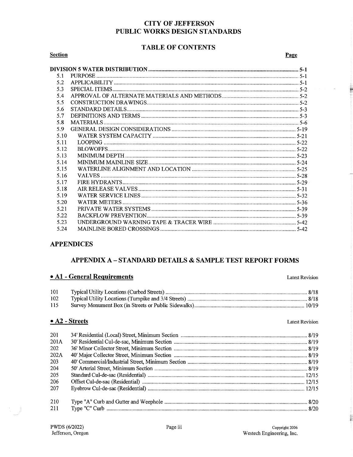## **TABLE OF CONTENTS**

#### **Section**

Page

Ë

| 5.1  |  |
|------|--|
| 5.2  |  |
| 5.3  |  |
| 5.4  |  |
| 5.5  |  |
| 5.6  |  |
| 5.7  |  |
| 5.8  |  |
| 5.9  |  |
| 5.10 |  |
| 5.11 |  |
| 5.12 |  |
| 5.13 |  |
| 5.14 |  |
| 5.15 |  |
| 5.16 |  |
| 5.17 |  |
| 5.18 |  |
| 5.19 |  |
| 5.20 |  |
| 5.21 |  |
| 5.22 |  |
| 5.23 |  |
| 5.24 |  |

#### **APPENDICES**

### **APPENDIX A-STANDARD DETAILS & SAMPLE TEST REPORT FORMS**

#### • A1 - General Requirements

101 102 115

#### $\bullet$  A2 - Streets

**Latest Revision** 

**Latest Revision** 

| 201  |  |
|------|--|
| 201A |  |
| 202  |  |
| 202A |  |
| 203  |  |
| 204  |  |
| 205  |  |
| 206  |  |
| 207  |  |
| 210  |  |
| 211  |  |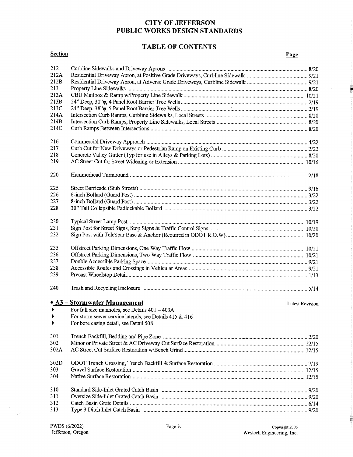## **TABLE OF CONTENTS**

| <b>Section</b> |                                                                        | <b>Page</b>     |
|----------------|------------------------------------------------------------------------|-----------------|
| 212            |                                                                        |                 |
| 212A           |                                                                        |                 |
| 212B           |                                                                        |                 |
| 213            |                                                                        |                 |
| 213A           |                                                                        |                 |
| 213B           |                                                                        |                 |
| 213C           |                                                                        |                 |
| 214A           |                                                                        |                 |
| 214B           |                                                                        |                 |
| 214C           |                                                                        |                 |
|                |                                                                        |                 |
| 216            |                                                                        |                 |
| 217            |                                                                        |                 |
| 218            |                                                                        |                 |
| 219            |                                                                        |                 |
| 220            |                                                                        |                 |
|                |                                                                        |                 |
| 225            |                                                                        |                 |
| 226            |                                                                        |                 |
| 227            |                                                                        |                 |
| 228            |                                                                        |                 |
| 230            |                                                                        |                 |
| 231            |                                                                        |                 |
| 232            |                                                                        |                 |
| 235            |                                                                        |                 |
| 236            |                                                                        |                 |
| 237            |                                                                        |                 |
| 238            |                                                                        |                 |
| 239            |                                                                        |                 |
| 240            |                                                                        |                 |
|                |                                                                        |                 |
|                | • A3 – Stormwater Management                                           | Latest Revision |
|                | $\blacktriangleright$ For full size manholes, see Details $401 - 403A$ |                 |
|                | For storm sewer service laterals, see Details $415 \& 416$             |                 |
|                | For bore casing detail, see Detail 508                                 |                 |
| 301            |                                                                        |                 |
| 302            |                                                                        |                 |
| 302A           |                                                                        |                 |
| 302D           |                                                                        |                 |
| 303            |                                                                        |                 |
| 304            |                                                                        |                 |
| 310            |                                                                        |                 |
| 311            |                                                                        |                 |
| 312            |                                                                        |                 |
| 313            |                                                                        |                 |

 $\bar{z}$ 

**BULLE**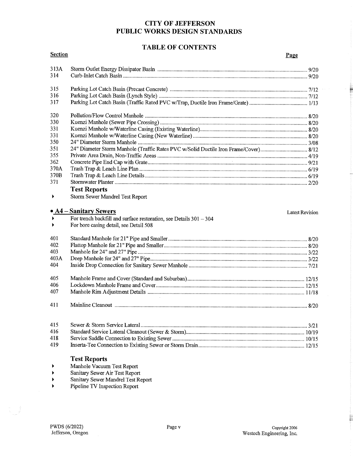#### **TABLE OF CONTENTS**

| <b>Section</b>        |                                                                                      | Page                   |
|-----------------------|--------------------------------------------------------------------------------------|------------------------|
| 313A                  |                                                                                      |                        |
| 314                   |                                                                                      |                        |
| 315                   |                                                                                      |                        |
| 316                   |                                                                                      |                        |
| 317                   |                                                                                      |                        |
| 320                   |                                                                                      |                        |
| 330                   |                                                                                      |                        |
| 331                   |                                                                                      |                        |
| 331                   |                                                                                      |                        |
| 350                   |                                                                                      |                        |
| 351                   | 24" Diameter Storm Manhole (Traffic Rates PVC w/Solid Ductile Iron Frame/Cover) 8/12 |                        |
| 355                   |                                                                                      |                        |
| 362                   |                                                                                      |                        |
| 370A                  |                                                                                      |                        |
| 370B                  |                                                                                      |                        |
| 371                   |                                                                                      |                        |
|                       | <b>Test Reports</b>                                                                  |                        |
| $\blacktriangleright$ | Storm Sewer Mandrel Test Report                                                      |                        |
|                       | $\bullet$ A4 – Sanitary Sewers                                                       | <b>Latest Revision</b> |
| $\blacktriangleright$ | For trench backfill and surface restoration, see Details 301 - 304                   |                        |
|                       | For bore casing detail, see Detail 508                                               |                        |
|                       |                                                                                      |                        |
| 401                   |                                                                                      |                        |
| 402                   |                                                                                      |                        |
| 403                   |                                                                                      |                        |
| 403A                  |                                                                                      |                        |
| 404                   |                                                                                      |                        |
| 405                   |                                                                                      |                        |
| 406                   |                                                                                      |                        |
| 407                   |                                                                                      |                        |
| 411                   |                                                                                      |                        |
| 415                   |                                                                                      |                        |
| 416                   |                                                                                      |                        |
| 418                   |                                                                                      |                        |
| 419                   |                                                                                      |                        |
|                       |                                                                                      |                        |
|                       | <b>Test Reports</b>                                                                  |                        |
|                       | Manhole Vacuum Test Report                                                           |                        |

<sup>~</sup>Sanitary Sewer Air Test Report

- <sup>~</sup>Sanitary Sewer Mandrel Test Report
- <sup>~</sup>Pipeline TV Inspection Report

ta<br>Alberta

Ē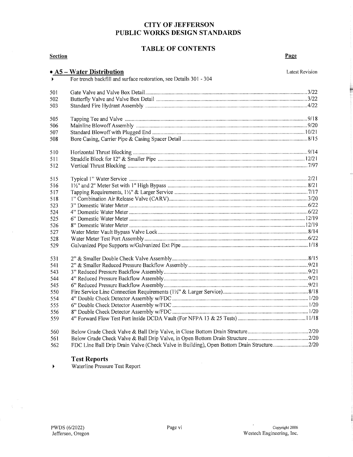## **TABLE OF CONTENTS**

| <b>Section</b> |                                                                                           | Page                   |
|----------------|-------------------------------------------------------------------------------------------|------------------------|
|                | $\bullet$ A5 – Water Distribution                                                         | <b>Latest Revision</b> |
|                | For trench backfill and surface restoration, see Details 301 - 304                        |                        |
| 501            |                                                                                           |                        |
| 502            |                                                                                           |                        |
| 503            |                                                                                           |                        |
| 505            |                                                                                           |                        |
| 506            |                                                                                           |                        |
| 507            |                                                                                           |                        |
| 508            |                                                                                           |                        |
| 510            |                                                                                           |                        |
| 511            |                                                                                           |                        |
| 512            |                                                                                           |                        |
| 515            |                                                                                           |                        |
| 516            |                                                                                           |                        |
| 517            |                                                                                           |                        |
| 518            |                                                                                           |                        |
| 523            |                                                                                           |                        |
| 524            |                                                                                           |                        |
| 525            |                                                                                           |                        |
| 526            |                                                                                           |                        |
| 527            |                                                                                           |                        |
| 528<br>529     |                                                                                           |                        |
|                |                                                                                           |                        |
| 531            |                                                                                           |                        |
| 541            |                                                                                           |                        |
| 543            |                                                                                           |                        |
| 544            |                                                                                           |                        |
| 545            |                                                                                           |                        |
| 550            |                                                                                           |                        |
| 554            |                                                                                           |                        |
| 555            |                                                                                           |                        |
| 556<br>559     |                                                                                           |                        |
|                |                                                                                           |                        |
| 560            |                                                                                           |                        |
| 561            | FDC Line Ball Drip Drain Valve (Check Valve in Building), Open Bottom Drain Structure2/20 |                        |
| 562            |                                                                                           |                        |

#### **Test Reports**

 $\blacktriangleright$ Waterline Pressure Test Report

 $\bar{\lambda}$ 

 $\mathcal{V}=\mathcal{V}$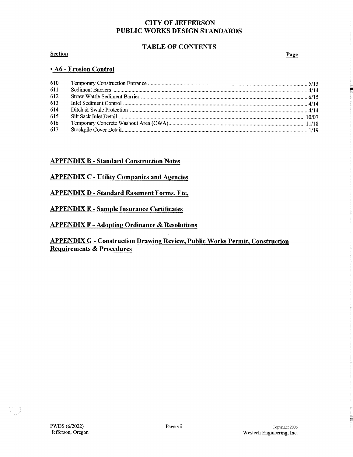## TABLE OF CONTENTS

#### **Section**

Page

#### • A6 - Erosion Control

| 610 |  |
|-----|--|
| 611 |  |
| 612 |  |
| 613 |  |
| 614 |  |
| 615 |  |
| 616 |  |
| 617 |  |

#### APPENDIX B - Standard Construction Notes

#### **APPENDIX C - Utility Companies and Agencies**

#### APPENDIX D - Standard Easement Forms, Etc.

#### APPENDIX E - Sample Insurance Certificates

#### APPENDIX F - Adopting Ordinance & Resolutions

## APPENDIX G - Construction Drawing Review, Public Works Permit, Construction Requirements & Procedures